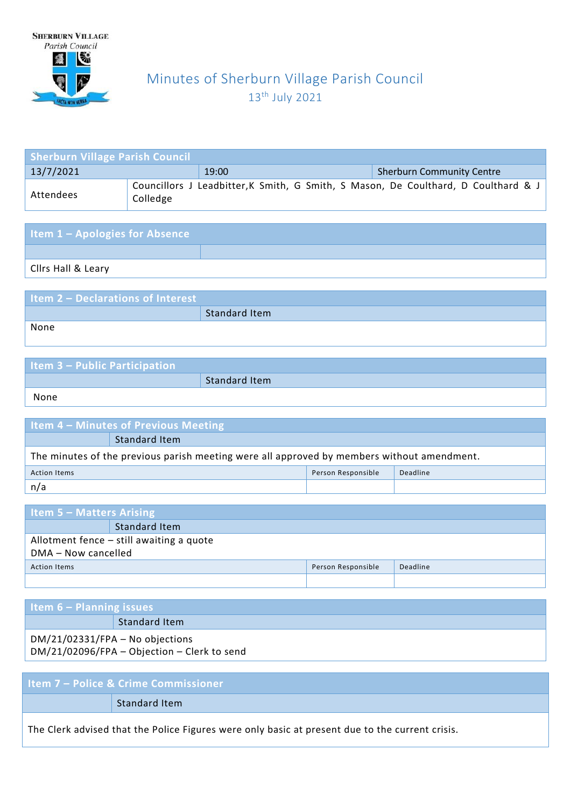

# Minutes of Sherburn Village Parish Council 13th July 2021

| <b>Sherburn Village Parish Council</b> |          |                                           |                                                                                    |  |  |
|----------------------------------------|----------|-------------------------------------------|------------------------------------------------------------------------------------|--|--|
| 13/7/2021                              |          | <b>Sherburn Community Centre</b><br>19:00 |                                                                                    |  |  |
| Attendees                              | Colledge |                                           | Councillors J Leadbitter, K Smith, G Smith, S Mason, De Coulthard, D Coulthard & J |  |  |

| <b>Item 1 - Apologies for Absence</b> |  |
|---------------------------------------|--|
|                                       |  |
| Cilrs Hall & Leary                    |  |

| <b>Item 2 - Declarations of Interest</b> |               |
|------------------------------------------|---------------|
|                                          | Standard Item |
| None                                     |               |

| <b>Item 3 - Public Participation</b> |               |
|--------------------------------------|---------------|
|                                      | Standard Item |
| None                                 |               |

| <b>Item 4 – Minutes of Previous Meeting</b>                                                |               |  |  |
|--------------------------------------------------------------------------------------------|---------------|--|--|
|                                                                                            | Standard Item |  |  |
| The minutes of the previous parish meeting were all approved by members without amendment. |               |  |  |
| Person Responsible<br>Deadline<br><b>Action Items</b>                                      |               |  |  |
| n/a                                                                                        |               |  |  |

| Item $5 -$ Matters Arising                            |  |  |  |
|-------------------------------------------------------|--|--|--|
| <b>Standard Item</b>                                  |  |  |  |
| Allotment fence - still awaiting a quote              |  |  |  |
| DMA - Now cancelled                                   |  |  |  |
| Deadline<br>Person Responsible<br><b>Action Items</b> |  |  |  |
|                                                       |  |  |  |

| Item $6 -$ Planning issues                                                                      |                                                                                  |  |
|-------------------------------------------------------------------------------------------------|----------------------------------------------------------------------------------|--|
|                                                                                                 | Standard Item                                                                    |  |
|                                                                                                 | $DM/21/02331/FPA - No$ objections<br>DM/21/02096/FPA - Objection - Clerk to send |  |
|                                                                                                 |                                                                                  |  |
| Item 7 - Police & Crime Commissioner                                                            |                                                                                  |  |
|                                                                                                 | Standard Item                                                                    |  |
| The Clerk advised that the Police Figures were only basic at present due to the current crisis. |                                                                                  |  |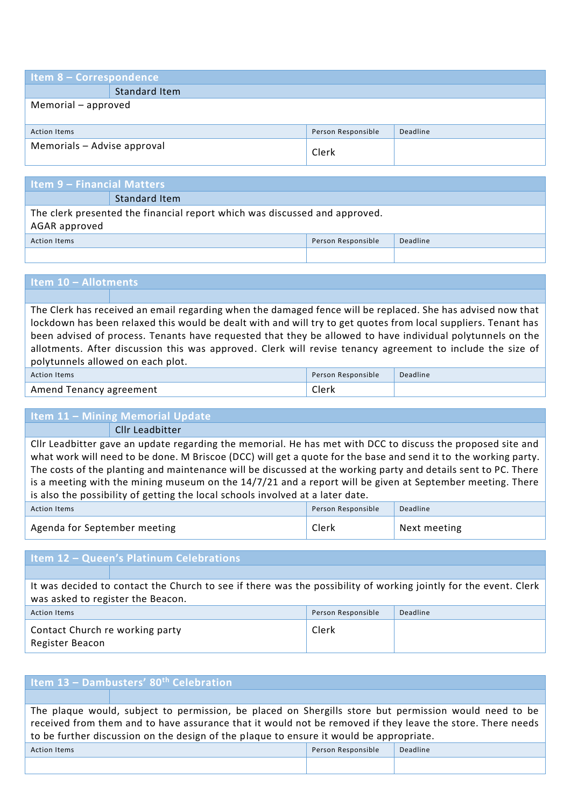| <b>Item 8 - Correspondence</b>                        |                      |       |  |  |
|-------------------------------------------------------|----------------------|-------|--|--|
|                                                       | <b>Standard Item</b> |       |  |  |
| Memorial - approved                                   |                      |       |  |  |
|                                                       |                      |       |  |  |
| Person Responsible<br>Deadline<br><b>Action Items</b> |                      |       |  |  |
| Memorials - Advise approval                           |                      | Clerk |  |  |

# **Item 9 – Financial Matters**

Standard Item The clerk presented the financial report which was discussed and approved. AGAR approved

Action Items Person Responsible Deadline

## **Item 10 – Allotments**

The Clerk has received an email regarding when the damaged fence will be replaced. She has advised now that lockdown has been relaxed this would be dealt with and will try to get quotes from local suppliers. Tenant has been advised of process. Tenants have requested that they be allowed to have individual polytunnels on the allotments. After discussion this was approved. Clerk will revise tenancy agreement to include the size of polytunnels allowed on each plot.

| <b>Action Items</b>     | Person Responsible | Deadline |
|-------------------------|--------------------|----------|
| Amend Tenancy agreement | Clerk              |          |

#### **Item 11 – Mining Memorial Update**

Cllr Leadbitter

Cllr Leadbitter gave an update regarding the memorial. He has met with DCC to discuss the proposed site and what work will need to be done. M Briscoe (DCC) will get a quote for the base and send it to the working party. The costs of the planting and maintenance will be discussed at the working party and details sent to PC. There is a meeting with the mining museum on the 14/7/21 and a report will be given at September meeting. There is also the possibility of getting the local schools involved at a later date.

| Action Items                 | Person Responsible | Deadline     |
|------------------------------|--------------------|--------------|
| Agenda for September meeting | Clerk              | Next meeting |

#### **Item 12 – Queen's Platinum Celebrations**

It was decided to contact the Church to see if there was the possibility of working jointly for the event. Clerk was asked to register the Beacon.

| <b>Action Items</b>                                | Person Responsible | Deadline |
|----------------------------------------------------|--------------------|----------|
| Contact Church re working party<br>Register Beacon | Clerk              |          |

| Item 13 - Dambusters' 80 <sup>th</sup> Celebration                                                                                                                                                                                                                                                             |  |  |  |  |
|----------------------------------------------------------------------------------------------------------------------------------------------------------------------------------------------------------------------------------------------------------------------------------------------------------------|--|--|--|--|
|                                                                                                                                                                                                                                                                                                                |  |  |  |  |
| The plaque would, subject to permission, be placed on Shergills store but permission would need to be<br>received from them and to have assurance that it would not be removed if they leave the store. There needs<br>to be further discussion on the design of the plaque to ensure it would be appropriate. |  |  |  |  |
| Person Responsible<br>Deadline<br><b>Action Items</b>                                                                                                                                                                                                                                                          |  |  |  |  |
|                                                                                                                                                                                                                                                                                                                |  |  |  |  |